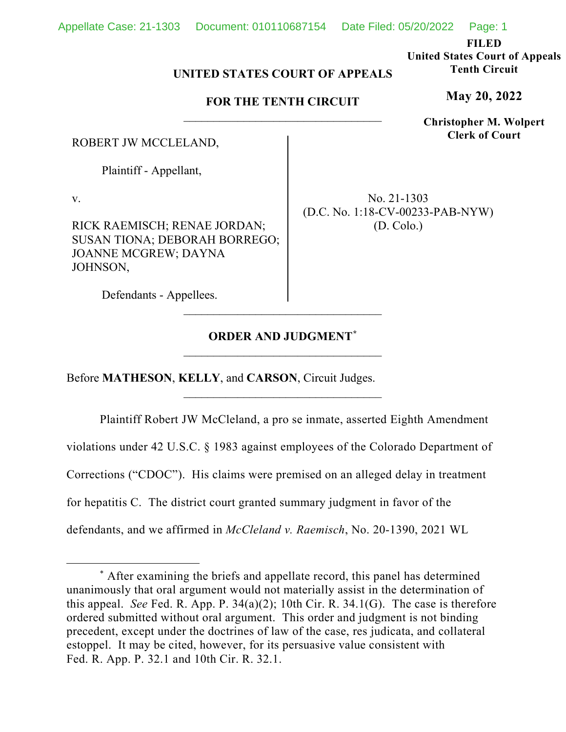**FILED**

**United States Court of Appeals Tenth Circuit**

**May 20, 2022**

**Christopher M. Wolpert Clerk of Court**

# **UNITED STATES COURT OF APPEALS**

## **FOR THE TENTH CIRCUIT** \_\_\_\_\_\_\_\_\_\_\_\_\_\_\_\_\_\_\_\_\_\_\_\_\_\_\_\_\_\_\_\_\_

ROBERT JW MCCLELAND,

Plaintiff - Appellant,

v.

RICK RAEMISCH; RENAE JORDAN; SUSAN TIONA; DEBORAH BORREGO; JOANNE MCGREW; DAYNA JOHNSON,

No. 21-1303 (D.C. No. 1:18-CV-00233-PAB-NYW) (D. Colo.)

Defendants - Appellees.

# **ORDER AND JUDGMENT[\\*](#page-0-0)** \_\_\_\_\_\_\_\_\_\_\_\_\_\_\_\_\_\_\_\_\_\_\_\_\_\_\_\_\_\_\_\_\_

\_\_\_\_\_\_\_\_\_\_\_\_\_\_\_\_\_\_\_\_\_\_\_\_\_\_\_\_\_\_\_\_\_

Before **MATHESON**, **KELLY**, and **CARSON**, Circuit Judges.

Plaintiff Robert JW McCleland, a pro se inmate, asserted Eighth Amendment violations under 42 U.S.C. § 1983 against employees of the Colorado Department of Corrections ("CDOC"). His claims were premised on an alleged delay in treatment for hepatitis C. The district court granted summary judgment in favor of the defendants, and we affirmed in *McCleland v. Raemisch*, No. 20-1390, 2021 WL

<span id="page-0-0"></span><sup>\*</sup> After examining the briefs and appellate record, this panel has determined unanimously that oral argument would not materially assist in the determination of this appeal. *See* Fed. R. App. P. 34(a)(2); 10th Cir. R. 34.1(G). The case is therefore ordered submitted without oral argument. This order and judgment is not binding precedent, except under the doctrines of law of the case, res judicata, and collateral estoppel. It may be cited, however, for its persuasive value consistent with Fed. R. App. P. 32.1 and 10th Cir. R. 32.1.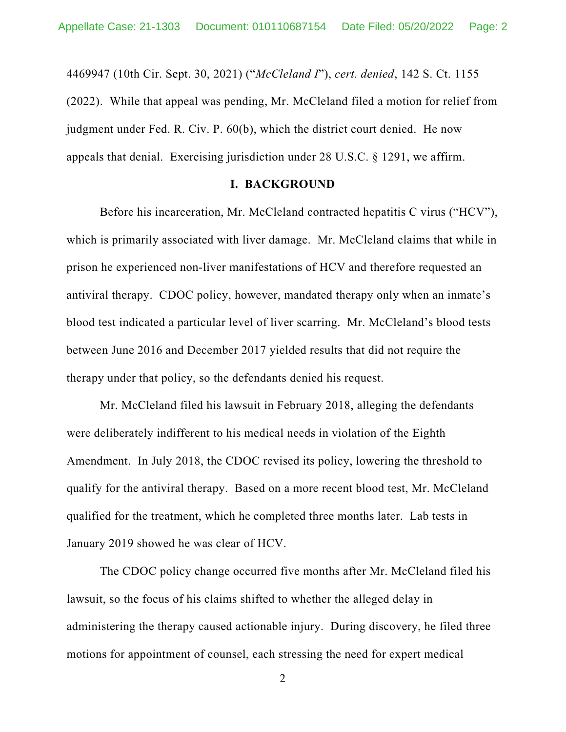4469947 (10th Cir. Sept. 30, 2021) ("*McCleland I*"), *cert. denied*, 142 S. Ct. 1155 (2022). While that appeal was pending, Mr. McCleland filed a motion for relief from judgment under Fed. R. Civ. P. 60(b), which the district court denied. He now appeals that denial. Exercising jurisdiction under 28 U.S.C. § 1291, we affirm.

#### **I. BACKGROUND**

Before his incarceration, Mr. McCleland contracted hepatitis C virus ("HCV"), which is primarily associated with liver damage. Mr. McCleland claims that while in prison he experienced non-liver manifestations of HCV and therefore requested an antiviral therapy. CDOC policy, however, mandated therapy only when an inmate's blood test indicated a particular level of liver scarring. Mr. McCleland's blood tests between June 2016 and December 2017 yielded results that did not require the therapy under that policy, so the defendants denied his request.

Mr. McCleland filed his lawsuit in February 2018, alleging the defendants were deliberately indifferent to his medical needs in violation of the Eighth Amendment. In July 2018, the CDOC revised its policy, lowering the threshold to qualify for the antiviral therapy. Based on a more recent blood test, Mr. McCleland qualified for the treatment, which he completed three months later. Lab tests in January 2019 showed he was clear of HCV.

The CDOC policy change occurred five months after Mr. McCleland filed his lawsuit, so the focus of his claims shifted to whether the alleged delay in administering the therapy caused actionable injury. During discovery, he filed three motions for appointment of counsel, each stressing the need for expert medical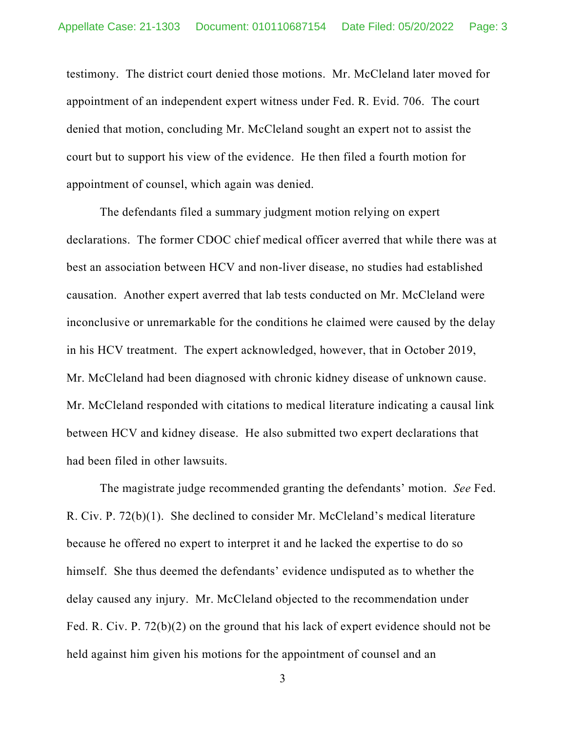testimony. The district court denied those motions. Mr. McCleland later moved for appointment of an independent expert witness under Fed. R. Evid. 706. The court denied that motion, concluding Mr. McCleland sought an expert not to assist the court but to support his view of the evidence. He then filed a fourth motion for appointment of counsel, which again was denied.

The defendants filed a summary judgment motion relying on expert declarations. The former CDOC chief medical officer averred that while there was at best an association between HCV and non-liver disease, no studies had established causation. Another expert averred that lab tests conducted on Mr. McCleland were inconclusive or unremarkable for the conditions he claimed were caused by the delay in his HCV treatment. The expert acknowledged, however, that in October 2019, Mr. McCleland had been diagnosed with chronic kidney disease of unknown cause. Mr. McCleland responded with citations to medical literature indicating a causal link between HCV and kidney disease. He also submitted two expert declarations that had been filed in other lawsuits.

The magistrate judge recommended granting the defendants' motion. *See* Fed. R. Civ. P. 72(b)(1). She declined to consider Mr. McCleland's medical literature because he offered no expert to interpret it and he lacked the expertise to do so himself. She thus deemed the defendants' evidence undisputed as to whether the delay caused any injury. Mr. McCleland objected to the recommendation under Fed. R. Civ. P. 72(b)(2) on the ground that his lack of expert evidence should not be held against him given his motions for the appointment of counsel and an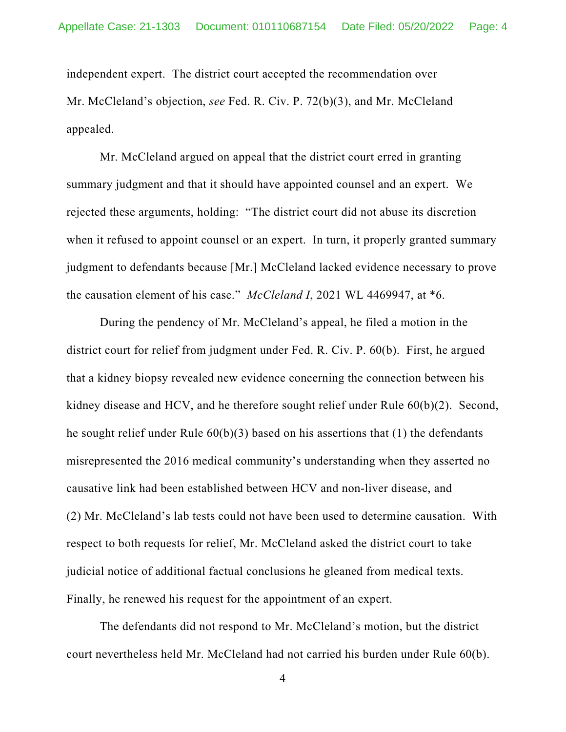independent expert. The district court accepted the recommendation over Mr. McCleland's objection, *see* Fed. R. Civ. P. 72(b)(3), and Mr. McCleland appealed.

Mr. McCleland argued on appeal that the district court erred in granting summary judgment and that it should have appointed counsel and an expert. We rejected these arguments, holding: "The district court did not abuse its discretion when it refused to appoint counsel or an expert. In turn, it properly granted summary judgment to defendants because [Mr.] McCleland lacked evidence necessary to prove the causation element of his case." *McCleland I*, 2021 WL 4469947, at \*6.

During the pendency of Mr. McCleland's appeal, he filed a motion in the district court for relief from judgment under Fed. R. Civ. P. 60(b). First, he argued that a kidney biopsy revealed new evidence concerning the connection between his kidney disease and HCV, and he therefore sought relief under Rule 60(b)(2). Second, he sought relief under Rule 60(b)(3) based on his assertions that (1) the defendants misrepresented the 2016 medical community's understanding when they asserted no causative link had been established between HCV and non-liver disease, and (2) Mr. McCleland's lab tests could not have been used to determine causation. With respect to both requests for relief, Mr. McCleland asked the district court to take judicial notice of additional factual conclusions he gleaned from medical texts. Finally, he renewed his request for the appointment of an expert.

The defendants did not respond to Mr. McCleland's motion, but the district court nevertheless held Mr. McCleland had not carried his burden under Rule 60(b).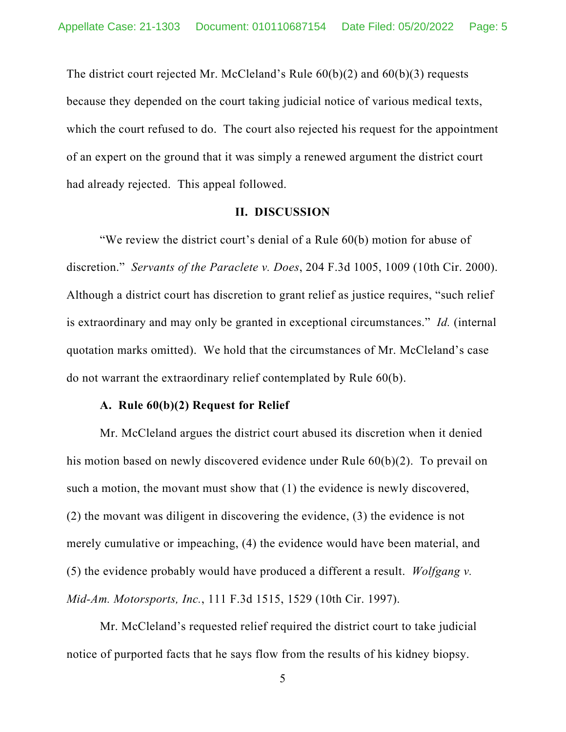The district court rejected Mr. McCleland's Rule  $60(b)(2)$  and  $60(b)(3)$  requests because they depended on the court taking judicial notice of various medical texts, which the court refused to do. The court also rejected his request for the appointment of an expert on the ground that it was simply a renewed argument the district court had already rejected. This appeal followed.

#### **II. DISCUSSION**

"We review the district court's denial of a Rule 60(b) motion for abuse of discretion." *Servants of the Paraclete v. Does*, 204 F.3d 1005, 1009 (10th Cir. 2000). Although a district court has discretion to grant relief as justice requires, "such relief is extraordinary and may only be granted in exceptional circumstances." *Id.* (internal quotation marks omitted). We hold that the circumstances of Mr. McCleland's case do not warrant the extraordinary relief contemplated by Rule 60(b).

### **A. Rule 60(b)(2) Request for Relief**

Mr. McCleland argues the district court abused its discretion when it denied his motion based on newly discovered evidence under Rule 60(b)(2). To prevail on such a motion, the movant must show that (1) the evidence is newly discovered, (2) the movant was diligent in discovering the evidence, (3) the evidence is not merely cumulative or impeaching, (4) the evidence would have been material, and (5) the evidence probably would have produced a different a result. *Wolfgang v. Mid-Am. Motorsports, Inc.*, 111 F.3d 1515, 1529 (10th Cir. 1997).

Mr. McCleland's requested relief required the district court to take judicial notice of purported facts that he says flow from the results of his kidney biopsy.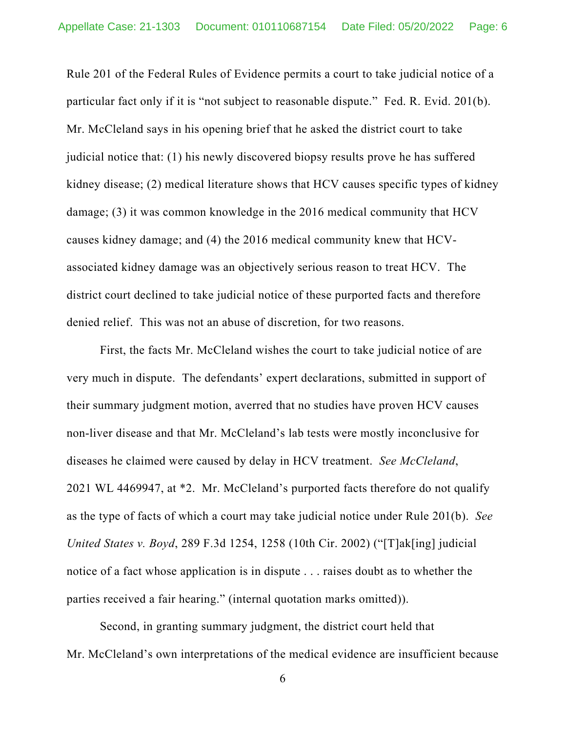Rule 201 of the Federal Rules of Evidence permits a court to take judicial notice of a particular fact only if it is "not subject to reasonable dispute." Fed. R. Evid. 201(b). Mr. McCleland says in his opening brief that he asked the district court to take judicial notice that: (1) his newly discovered biopsy results prove he has suffered kidney disease; (2) medical literature shows that HCV causes specific types of kidney damage; (3) it was common knowledge in the 2016 medical community that HCV causes kidney damage; and (4) the 2016 medical community knew that HCVassociated kidney damage was an objectively serious reason to treat HCV. The district court declined to take judicial notice of these purported facts and therefore denied relief. This was not an abuse of discretion, for two reasons.

First, the facts Mr. McCleland wishes the court to take judicial notice of are very much in dispute. The defendants' expert declarations, submitted in support of their summary judgment motion, averred that no studies have proven HCV causes non-liver disease and that Mr. McCleland's lab tests were mostly inconclusive for diseases he claimed were caused by delay in HCV treatment. *See McCleland*, 2021 WL 4469947, at \*2. Mr. McCleland's purported facts therefore do not qualify as the type of facts of which a court may take judicial notice under Rule 201(b). *See United States v. Boyd*, 289 F.3d 1254, 1258 (10th Cir. 2002) ("[T]ak[ing] judicial notice of a fact whose application is in dispute . . . raises doubt as to whether the parties received a fair hearing." (internal quotation marks omitted)).

Second, in granting summary judgment, the district court held that Mr. McCleland's own interpretations of the medical evidence are insufficient because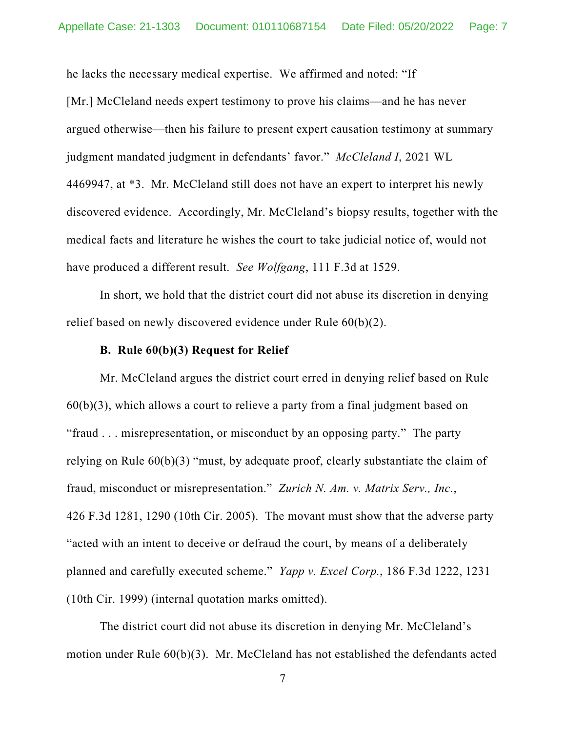he lacks the necessary medical expertise. We affirmed and noted: "If [Mr.] McCleland needs expert testimony to prove his claims—and he has never argued otherwise—then his failure to present expert causation testimony at summary judgment mandated judgment in defendants' favor." *McCleland I*, 2021 WL 4469947, at \*3. Mr. McCleland still does not have an expert to interpret his newly discovered evidence. Accordingly, Mr. McCleland's biopsy results, together with the medical facts and literature he wishes the court to take judicial notice of, would not have produced a different result. *See Wolfgang*, 111 F.3d at 1529.

In short, we hold that the district court did not abuse its discretion in denying relief based on newly discovered evidence under Rule 60(b)(2).

#### **B. Rule 60(b)(3) Request for Relief**

Mr. McCleland argues the district court erred in denying relief based on Rule  $60(b)(3)$ , which allows a court to relieve a party from a final judgment based on "fraud . . . misrepresentation, or misconduct by an opposing party." The party relying on Rule 60(b)(3) "must, by adequate proof, clearly substantiate the claim of fraud, misconduct or misrepresentation." *Zurich N. Am. v. Matrix Serv., Inc.*, 426 F.3d 1281, 1290 (10th Cir. 2005). The movant must show that the adverse party "acted with an intent to deceive or defraud the court, by means of a deliberately planned and carefully executed scheme." *Yapp v. Excel Corp.*, 186 F.3d 1222, 1231 (10th Cir. 1999) (internal quotation marks omitted).

The district court did not abuse its discretion in denying Mr. McCleland's motion under Rule 60(b)(3). Mr. McCleland has not established the defendants acted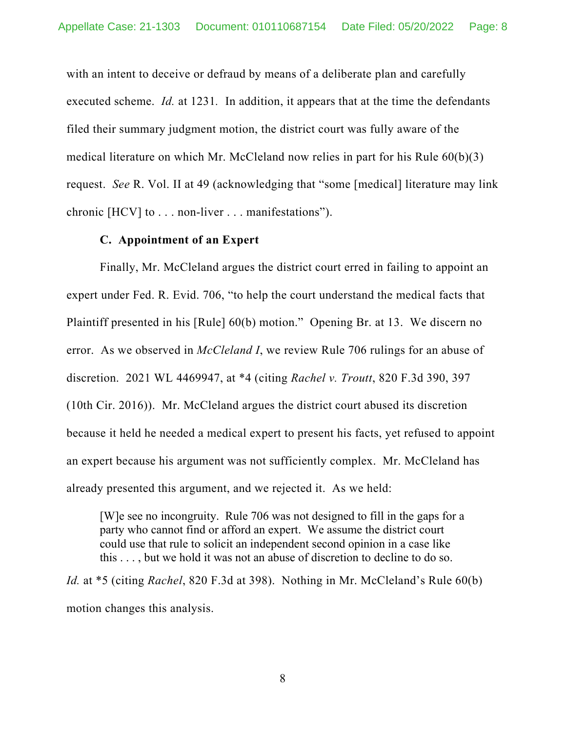with an intent to deceive or defraud by means of a deliberate plan and carefully executed scheme. *Id.* at 1231*.* In addition, it appears that at the time the defendants filed their summary judgment motion, the district court was fully aware of the medical literature on which Mr. McCleland now relies in part for his Rule 60(b)(3) request. *See* R. Vol. II at 49 (acknowledging that "some [medical] literature may link chronic [HCV] to . . . non-liver . . . manifestations").

### **C. Appointment of an Expert**

Finally, Mr. McCleland argues the district court erred in failing to appoint an expert under Fed. R. Evid. 706, "to help the court understand the medical facts that Plaintiff presented in his [Rule] 60(b) motion." Opening Br. at 13. We discern no error. As we observed in *McCleland I*, we review Rule 706 rulings for an abuse of discretion. 2021 WL 4469947, at \*4 (citing *Rachel v. Troutt*, 820 F.3d 390, 397 (10th Cir. 2016)). Mr. McCleland argues the district court abused its discretion because it held he needed a medical expert to present his facts, yet refused to appoint an expert because his argument was not sufficiently complex. Mr. McCleland has already presented this argument, and we rejected it. As we held:

[W]e see no incongruity. Rule 706 was not designed to fill in the gaps for a party who cannot find or afford an expert. We assume the district court could use that rule to solicit an independent second opinion in a case like this . . . , but we hold it was not an abuse of discretion to decline to do so.

*Id.* at \*5 (citing *Rachel*, 820 F.3d at 398). Nothing in Mr. McCleland's Rule 60(b) motion changes this analysis.